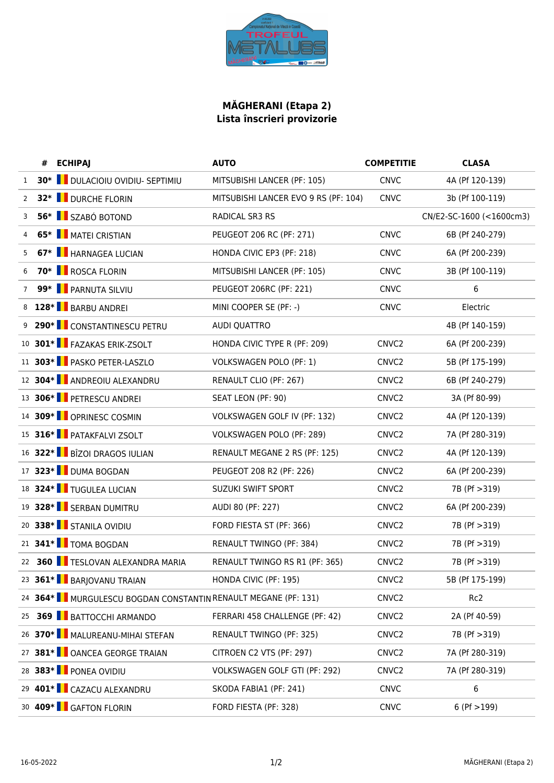

## **MĂGHERANI (Etapa 2) Lista înscrieri provizorie**

|                | <b>ECHIPAJ</b>                                                | <b>AUTO</b>                          | <b>COMPETITIE</b> | <b>CLASA</b>             |
|----------------|---------------------------------------------------------------|--------------------------------------|-------------------|--------------------------|
| $\mathbf{1}$   | 30*   DULACIOIU OVIDIU- SEPTIMIU                              | MITSUBISHI LANCER (PF: 105)          | <b>CNVC</b>       | 4A (Pf 120-139)          |
| $\overline{2}$ | 32* <b>U</b> DURCHE FLORIN                                    | MITSUBISHI LANCER EVO 9 RS (PF: 104) | <b>CNVC</b>       | 3b (Pf 100-119)          |
| 3              | 56* SZABÓ BOTOND                                              | RADICAL SR3 RS                       |                   | CN/E2-SC-1600 (<1600cm3) |
| 4              | 65* MATEI CRISTIAN                                            | PEUGEOT 206 RC (PF: 271)             | <b>CNVC</b>       | 6B (Pf 240-279)          |
| 5              | 67* <b>HARNAGEA LUCIAN</b>                                    | HONDA CIVIC EP3 (PF: 218)            | <b>CNVC</b>       | 6A (Pf 200-239)          |
| 6              | 70* <b>B</b> ROSCA FLORIN                                     | MITSUBISHI LANCER (PF: 105)          | <b>CNVC</b>       | 3B (Pf 100-119)          |
| $\overline{7}$ | 99* FARNUTA SILVIU                                            | PEUGEOT 206RC (PF: 221)              | <b>CNVC</b>       | 6                        |
|                | 128* BARBU ANDREI                                             | MINI COOPER SE (PF: -)               | <b>CNVC</b>       | Electric                 |
|                | 9 290* CONSTANTINESCU PETRU                                   | <b>AUDI QUATTRO</b>                  |                   | 4B (Pf 140-159)          |
|                | 10 301* FAZAKAS ERIK-ZSOLT                                    | HONDA CIVIC TYPE R (PF: 209)         | CNVC <sub>2</sub> | 6A (Pf 200-239)          |
|                | 11 303* PASKO PETER-LASZLO                                    | <b>VOLKSWAGEN POLO (PF: 1)</b>       | CNVC <sub>2</sub> | 5B (Pf 175-199)          |
|                | 12 304* ANDREOIU ALEXANDRU                                    | RENAULT CLIO (PF: 267)               | CNVC <sub>2</sub> | 6B (Pf 240-279)          |
|                | 13 306* PETRESCU ANDREI                                       | SEAT LEON (PF: 90)                   | CNVC <sub>2</sub> | 3A (Pf 80-99)            |
|                | 14 309* OPRINESC COSMIN                                       | <b>VOLKSWAGEN GOLF IV (PF: 132)</b>  | CNVC <sub>2</sub> | 4A (Pf 120-139)          |
|                | 15 316* PATAKFALVI ZSOLT                                      | VOLKSWAGEN POLO (PF: 289)            | CNVC <sub>2</sub> | 7A (Pf 280-319)          |
|                | 16 322* BÎZOI DRAGOS IULIAN                                   | RENAULT MEGANE 2 RS (PF: 125)        | CNVC <sub>2</sub> | 4A (Pf 120-139)          |
|                | 17 323* DUMA BOGDAN                                           | PEUGEOT 208 R2 (PF: 226)             | CNVC <sub>2</sub> | 6A (Pf 200-239)          |
|                | 18 324* TUGULEA LUCIAN                                        | SUZUKI SWIFT SPORT                   | CNVC <sub>2</sub> | 7B (Pf > 319)            |
|                | 19 328* SERBAN DUMITRU                                        | AUDI 80 (PF: 227)                    | CNVC <sub>2</sub> | 6A (Pf 200-239)          |
|                | 20 338* STANILA OVIDIU                                        | FORD FIESTA ST (PF: 366)             | CNVC <sub>2</sub> | 7B (Pf > 319)            |
|                | 21 341* TOMA BOGDAN                                           | RENAULT TWINGO (PF: 384)             | CNVC <sub>2</sub> | 7B (Pf > 319)            |
|                | 22 360 TESLOVAN ALEXANDRA MARIA                               | RENAULT TWINGO RS R1 (PF: 365)       | CNVC <sub>2</sub> | 7B (Pf > 319)            |
|                | 23 361* BARJOVANU TRAIAN                                      | HONDA CIVIC (PF: 195)                | CNVC <sub>2</sub> | 5B (Pf 175-199)          |
|                | 24 364* MURGULESCU BOGDAN CONSTANTIN RENAULT MEGANE (PF: 131) |                                      | CNVC <sub>2</sub> | Rc <sub>2</sub>          |
| 25             | <b>369 BATTOCCHI ARMANDO</b>                                  | FERRARI 458 CHALLENGE (PF: 42)       | CNVC <sub>2</sub> | 2A (Pf 40-59)            |
|                | 26 370* MALUREANU-MIHAI STEFAN                                | RENAULT TWINGO (PF: 325)             | CNVC <sub>2</sub> | 7B (Pf > 319)            |
|                | 27 381*   OANCEA GEORGE TRAIAN                                | CITROEN C2 VTS (PF: 297)             | CNVC <sub>2</sub> | 7A (Pf 280-319)          |
|                | 28 383* PONEA OVIDIU                                          | VOLKSWAGEN GOLF GTI (PF: 292)        | CNVC <sub>2</sub> | 7A (Pf 280-319)          |
|                | 29 401* CAZACU ALEXANDRU                                      | SKODA FABIA1 (PF: 241)               | <b>CNVC</b>       | 6                        |
|                | 30 409* GAFTON FLORIN                                         | FORD FIESTA (PF: 328)                | <b>CNVC</b>       | $6$ (Pf $>199$ )         |